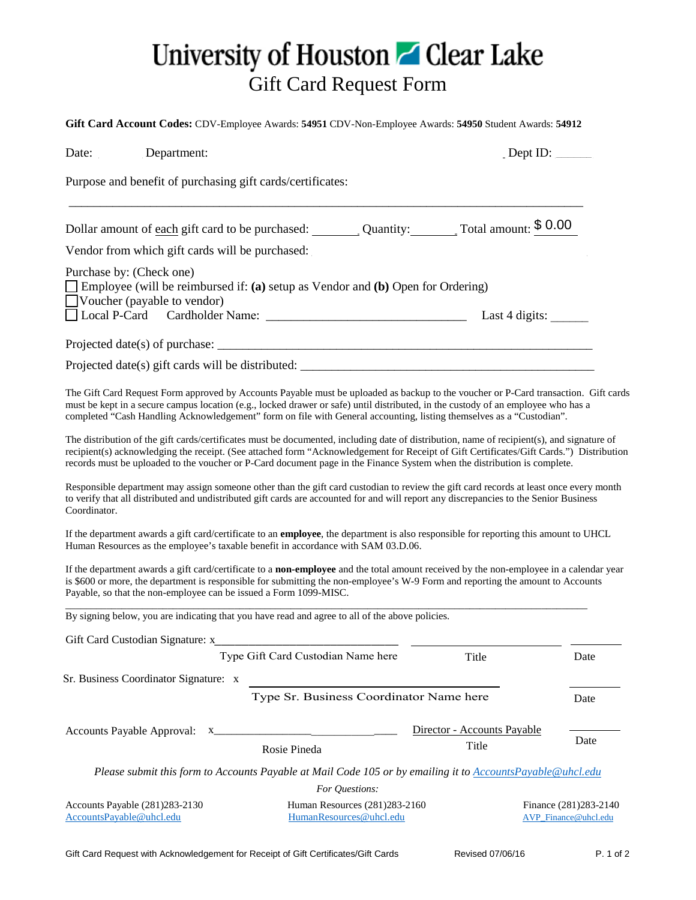$$0.00$ 

Type Gift Card Custodian Name here

 $\begin{array}{c} \square \\ \square \end{array}$ 

Type Sr. Business Coordinator Name here